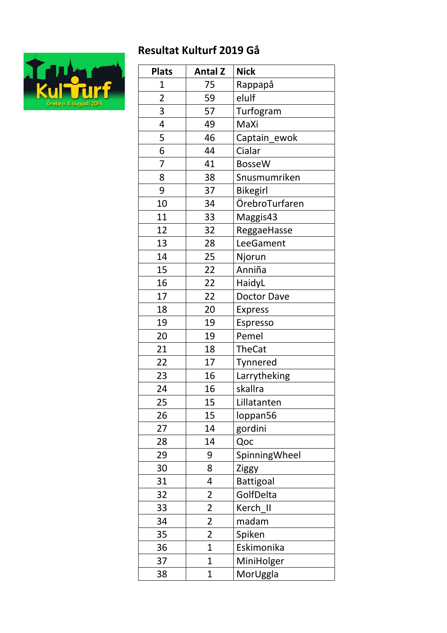## **Resultat Kulturf 2019 Gå**



| <b>Plats</b>   | <b>Antal Z</b>          | <b>Nick</b>        |
|----------------|-------------------------|--------------------|
| 1              | 75                      | Rappapå            |
| $\overline{2}$ | 59                      | elulf              |
| 3              | 57                      | Turfogram          |
| 4              | 49                      | MaXi               |
| 5              | 46                      | Captain_ewok       |
| 6              | 44                      | Cialar             |
| $\overline{7}$ | 41                      | <b>BosseW</b>      |
| 8              | 38                      | Snusmumriken       |
| 9              | 37                      | <b>Bikegirl</b>    |
| 10             | 34                      | ÖrebroTurfaren     |
| 11             | 33                      | Maggis43           |
| 12             | 32                      | ReggaeHasse        |
| 13             | 28                      | LeeGament          |
| 14             | 25                      | Njorun             |
| 15             | 22                      | Anniña             |
| 16             | 22                      | HaidyL             |
| 17             | 22                      | <b>Doctor Dave</b> |
| 18             | 20                      | <b>Express</b>     |
| 19             | 19                      | Espresso           |
| 20             | 19                      | Pemel              |
| 21             | 18                      | <b>TheCat</b>      |
| 22             | 17                      | Tynnered           |
| 23             | 16                      | Larrytheking       |
| 24             | 16                      | skallra            |
| 25             | 15                      | Lillatanten        |
| 26             | 15                      | loppan56           |
| 27             | 14                      | gordini            |
| 28             | 14                      | Qoc                |
| 29             | 9                       | SpinningWheel      |
| 30             | 8                       | Ziggy              |
| 31             | 4                       | <b>Battigoal</b>   |
| 32             | $\overline{\mathbf{c}}$ | GolfDelta          |
| 33             | $\overline{\mathbf{c}}$ | Kerch II           |
| 34             | $\overline{2}$          | madam              |
| 35             | $\overline{\mathbf{c}}$ | Spiken             |
| 36             | $\overline{1}$          | Eskimonika         |
| 37             | $\overline{1}$          | MiniHolger         |
| 38             | $\overline{1}$          | MorUggla           |